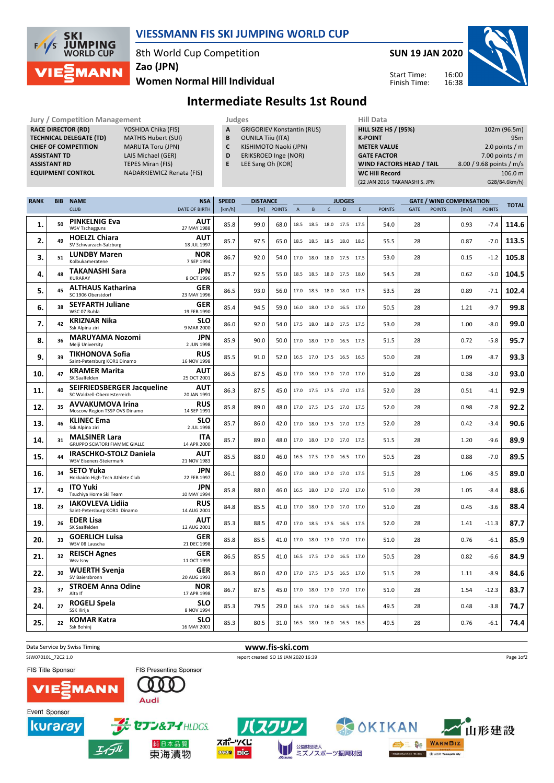

#### VIESSMANN FIS SKI JUMPING WORLD CUP

8th World Cup Competition



Women Normal Hill Individual Zao (JPN)

## Intermediate Results 1st Round

| <b>Jury / Competition Management</b> |                            |   | Judges                            | <b>Hill Data</b> |                    |
|--------------------------------------|----------------------------|---|-----------------------------------|------------------|--------------------|
| <b>RACE DIRECTOR (RD)</b>            | YOSHIDA Chika (FIS)        | A | <b>GRIGORIEV Konstantin (RUS)</b> |                  | <b>HILL SIZE H</b> |
| <b>TECHNICAL DELEGATE (TD)</b>       | <b>MATHIS Hubert (SUI)</b> | в | <b>OUNILA Tiju (ITA)</b>          |                  | <b>K-POINT</b>     |
| <b>CHIEF OF COMPETITION</b>          | <b>MARUTA Toru (JPN)</b>   |   | KISHIMOTO Naoki (JPN)             |                  | <b>METER VA</b>    |
| <b>ASSISTANT TD</b>                  | LAIS Michael (GER)         | D | ERIKSROED Inge (NOR)              |                  | <b>GATE FACT</b>   |
| <b>ASSISTANT RD</b>                  | <b>TEPES Miran (FIS)</b>   |   | LEE Sang Oh (KOR)                 |                  | <b>WIND FAC</b>    |
| <b>EQUIPMENT CONTROL</b>             | NADARKIEWICZ Renata (FIS)  |   |                                   |                  | <b>WC Hill Re</b>  |

- A GRIGORIEV Konstantin (RUS)
- **B** OUNILA Tiiu (ITA)<br>**C** KISHIMOTO Naok KISHIMOTO Naoki (JPN)
- D ERIKSROED Inge (NOR)
- E LEE Sang Oh (KOR)
- HILL SIZE HS / (95%) 102m (96.5m) K-POINT 95m<br>
METER VALUE 2.0 points / m  $2.0$  points / m GATE FACTOR 7.00 points / m WIND FACTORS HEAD / TAIL 8.00 / 9.68 points / m/s WC Hill Record 106.0 m (22 JAN 2016 TAKANASHI S. JPN G28/84.6km/h)

Start Time: Finish Time:

| <b>RANK</b> | <b>BIB</b> | <b>NAME</b>                                                      | <b>NSA</b>                | <b>SPEED</b> |      | <b>DISTANCE</b> |                |                | <b>JUDGES</b>            |           |   |               | <b>GATE / WIND COMPENSATION</b> |               |       |               | <b>TOTAL</b> |
|-------------|------------|------------------------------------------------------------------|---------------------------|--------------|------|-----------------|----------------|----------------|--------------------------|-----------|---|---------------|---------------------------------|---------------|-------|---------------|--------------|
|             |            | <b>CLUB</b>                                                      | DATE OF BIRTH             | [km/h]       | [m]  | <b>POINTS</b>   | $\overline{A}$ | B              | $\mathsf{C}$             | D         | E | <b>POINTS</b> | GATE                            | <b>POINTS</b> | [m/s] | <b>POINTS</b> |              |
| 1.          | 50         | <b>PINKELNIG Eva</b><br><b>WSV Tschagguns</b>                    | <b>AUT</b><br>27 MAY 1988 | 85.8         | 99.0 | 68.0            |                | 18.5 18.5      | 18.0                     | 17.5 17.5 |   | 54.0          | 28                              |               | 0.93  | $-7.4$        | 114.6        |
| 2.          | 49         | <b>HOELZL Chiara</b><br>SV Schwarzach-Salzburg                   | <b>AUT</b><br>18 JUL 1997 | 85.7         | 97.5 | 65.0            |                |                | 18.5 18.5 18.5 18.0 18.5 |           |   | 55.5          | 28                              |               | 0.87  | $-7.0$        | 113.5        |
| 3.          | 51         | <b>LUNDBY Maren</b><br>Kolbukameratene                           | <b>NOR</b><br>7 SEP 1994  | 86.7         | 92.0 | 54.0            |                |                | 17.0 18.0 18.0 17.5 17.5 |           |   | 53.0          | 28                              |               | 0.15  | $-1.2$        | 105.8        |
| 4.          | 48         | TAKANASHI Sara<br>KURARAY                                        | <b>JPN</b><br>8 OCT 1996  | 85.7         | 92.5 | 55.0            |                |                | 18.5 18.5 18.0 17.5 18.0 |           |   | 54.5          | 28                              |               | 0.62  | $-5.0$        | 104.5        |
| 5.          | 45         | <b>ALTHAUS Katharina</b><br>SC 1906 Oberstdorf                   | <b>GER</b><br>23 MAY 1996 | 86.5         | 93.0 | 56.0            |                | 17.0 18.5 18.0 |                          | 18.0 17.5 |   | 53.5          | 28                              |               | 0.89  | $-7.1$        | 102.4        |
| 6.          | 38         | <b>SEYFARTH Juliane</b><br>WSC 07 Ruhla                          | GER<br>19 FEB 1990        | 85.4         | 94.5 | 59.0            |                | 16.0 18.0 17.0 |                          | 16.5 17.0 |   | 50.5          | 28                              |               | 1.21  | $-9.7$        | 99.8         |
| 7.          | 42         | KRIZNAR Nika<br>Ssk Alpina ziri                                  | <b>SLO</b><br>9 MAR 2000  | 86.0         | 92.0 | 54.0            |                | 17.5 18.0      | 18.0 17.5 17.5           |           |   | 53.0          | 28                              |               | 1.00  | $-8.0$        | 99.0         |
| 8.          | 36         | <b>MARUYAMA Nozomi</b><br>Meiji University                       | <b>JPN</b><br>2 JUN 1998  | 85.9         | 90.0 | 50.0            |                |                | 17.0 18.0 17.0 16.5 17.5 |           |   | 51.5          | 28                              |               | 0.72  | $-5.8$        | 95.7         |
| 9.          | 39         | <b>TIKHONOVA Sofia</b><br>Saint-Petersburg KOR1 Dinamo           | <b>RUS</b><br>16 NOV 1998 | 85.5         | 91.0 | 52.0            |                |                | 16.5 17.0 17.5 16.5 16.5 |           |   | 50.0          | 28                              |               | 1.09  | $-8.7$        | 93.3         |
| 10.         | 47         | <b>KRAMER Marita</b><br>SK Saalfelden                            | <b>AUT</b><br>25 OCT 2001 | 86.5         | 87.5 | 45.0            |                |                | 17.0 18.0 17.0 17.0 17.0 |           |   | 51.0          | 28                              |               | 0.38  | $-3.0$        | 93.0         |
| 11.         | 40         | <b>SEIFRIEDSBERGER Jacqueline</b><br>SC Waldzell-Oberoesterreich | <b>AUT</b><br>20 JAN 1991 | 86.3         | 87.5 | 45.0            |                |                | 17.0 17.5 17.5 17.0 17.5 |           |   | 52.0          | 28                              |               | 0.51  | $-4.1$        | 92.9         |
| 12.         | 35         | <b>AVVAKUMOVA Irina</b><br>Moscow Region TSSP OVS Dinamo         | <b>RUS</b><br>14 SEP 1991 | 85.8         | 89.0 | 48.0            |                |                | 17.0 17.5 17.5 17.0 17.5 |           |   | 52.0          | 28                              |               | 0.98  | $-7.8$        | 92.2         |
| 13.         | 46         | <b>KLINEC Ema</b><br>Ssk Alpina ziri                             | <b>SLO</b><br>2 JUL 1998  | 85.7         | 86.0 | 42.0            |                |                | 17.0 18.0 17.5 17.0 17.5 |           |   | 52.0          | 28                              |               | 0.42  | $-3.4$        | 90.6         |
| 14.         | 31         | <b>MALSINER Lara</b><br><b>GRUPPO SCIATORI FIAMME GIALLE</b>     | <b>ITA</b><br>14 APR 2000 | 85.7         | 89.0 | 48.0            |                |                | 17.0 18.0 17.0 17.0 17.5 |           |   | 51.5          | 28                              |               | 1.20  | $-9.6$        | 89.9         |
| 15.         | 44         | <b>IRASCHKO-STOLZ Daniela</b><br>WSV Eisenerz-Steiermark         | AUT<br>21 NOV 1983        | 85.5         | 88.0 | 46.0            |                |                | 16.5 17.5 17.0 16.5 17.0 |           |   | 50.5          | 28                              |               | 0.88  | $-7.0$        | 89.5         |
| 16.         | 34         | <b>SETO Yuka</b><br>Hokkaido High-Tech Athlete Club              | JPN<br>22 FEB 1997        | 86.1         | 88.0 | 46.0            |                |                | 17.0 18.0 17.0 17.0 17.5 |           |   | 51.5          | 28                              |               | 1.06  | $-8.5$        | 89.0         |
| 17.         | 43         | <b>ITO Yuki</b><br>Tsuchiya Home Ski Team                        | <b>JPN</b><br>10 MAY 1994 | 85.8         | 88.0 | 46.0            |                | 16.5 18.0 17.0 |                          | 17.0 17.0 |   | 51.0          | 28                              |               | 1.05  | $-8.4$        | 88.6         |
| 18.         | 23         | <b>IAKOVLEVA Lidiia</b><br>Saint-Petersburg KOR1 Dinamo          | <b>RUS</b><br>14 AUG 2001 | 84.8         | 85.5 | 41.0            |                |                | 17.0 18.0 17.0 17.0 17.0 |           |   | 51.0          | 28                              |               | 0.45  | $-3.6$        | 88.4         |
| 19.         | 26         | <b>EDER Lisa</b><br>SK Saalfelden                                | AUT<br>12 AUG 2001        | 85.3         | 88.5 | 47.0            |                | 17.0 18.5 17.5 |                          | 16.5 17.5 |   | 52.0          | 28                              |               | 1.41  | $-11.3$       | 87.7         |
| 20.         | 33         | <b>GOERLICH Luisa</b><br>WSV 08 Lauscha                          | <b>GER</b><br>21 DEC 1998 | 85.8         | 85.5 | 41.0            |                |                | 17.0 18.0 17.0 17.0 17.0 |           |   | 51.0          | 28                              |               | 0.76  | $-6.1$        | 85.9         |
| 21.         | 32         | <b>REISCH Agnes</b><br>Wsv Isny                                  | <b>GER</b><br>11 OCT 1999 | 86.5         | 85.5 | 41.0            |                |                | 16.5 17.5 17.0 16.5 17.0 |           |   | 50.5          | 28                              |               | 0.82  | $-6.6$        | 84.9         |
| 22.         | 30         | <b>WUERTH Svenja</b><br>SV Baiersbronn                           | <b>GER</b><br>20 AUG 1993 | 86.3         | 86.0 | 42.0            |                |                | 17.0 17.5 17.5 16.5 17.0 |           |   | 51.5          | 28                              |               | 1.11  | $-8.9$        | 84.6         |
| 23.         | 37         | <b>STROEM Anna Odine</b><br>Alta If                              | <b>NOR</b><br>17 APR 1998 | 86.7         | 87.5 | 45.0            |                |                | 17.0 18.0 17.0 17.0 17.0 |           |   | 51.0          | 28                              |               | 1.54  | $-12.3$       | 83.7         |
| 24.         | 27         | ROGELJ Spela<br>SSK Ilirija                                      | <b>SLO</b><br>8 NOV 1994  | 85.3         | 79.5 | 29.0            |                |                | 16.5 17.0 16.0 16.5 16.5 |           |   | 49.5          | 28                              |               | 0.48  | $-3.8$        | 74.7         |
| 25.         | 22         | <b>KOMAR Katra</b><br>Ssk Bohinj                                 | <b>SLO</b><br>16 MAY 2001 | 85.3         | 80.5 | 31.0            |                |                | 16.5 18.0 16.0 16.5 16.5 |           |   | 49.5          | 28                              |               | 0.76  | $-6.1$        | 74.4         |



スポーツくじ

**0000 BIG** 

kuraray